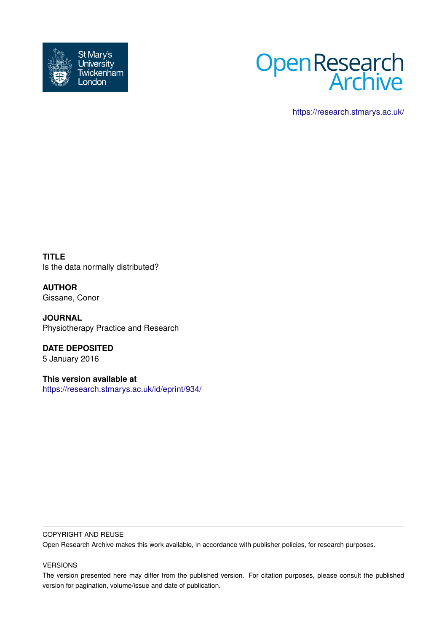



<https://research.stmarys.ac.uk/>

**TITLE** Is the data normally distributed?

**AUTHOR** Gissane, Conor

**JOURNAL** Physiotherapy Practice and Research

**DATE DEPOSITED** 5 January 2016

**This version available at** <https://research.stmarys.ac.uk/id/eprint/934/>

#### COPYRIGHT AND REUSE

Open Research Archive makes this work available, in accordance with publisher policies, for research purposes.

#### VERSIONS

The version presented here may differ from the published version. For citation purposes, please consult the published version for pagination, volume/issue and date of publication.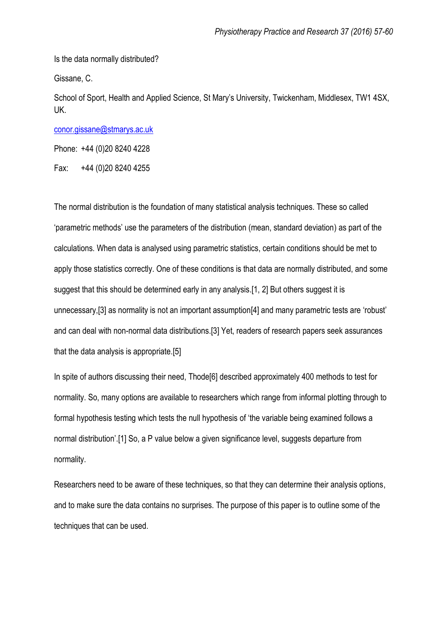Is the data normally distributed?

Gissane, C.

School of Sport, Health and Applied Science, St Mary's University, Twickenham, Middlesex, TW1 4SX, UK.

[conor.gissane@stmarys.ac.uk](mailto:conor.gissane@stmarys.ac.uk)

Phone: +44 (0)20 8240 4228

Fax: +44 (0)20 8240 4255

The normal distribution is the foundation of many statistical analysis techniques. These so called 'parametric methods' use the parameters of the distribution (mean, standard deviation) as part of the calculations. When data is analysed using parametric statistics, certain conditions should be met to apply those statistics correctly. One of these conditions is that data are normally distributed, and some suggest that this should be determined early in any analysis.[1, 2] But others suggest it is unnecessary,[3] as normality is not an important assumption[4] and many parametric tests are 'robust' and can deal with non-normal data distributions.[3] Yet, readers of research papers seek assurances that the data analysis is appropriate.[5]

In spite of authors discussing their need, Thode[6] described approximately 400 methods to test for normality. So, many options are available to researchers which range from informal plotting through to formal hypothesis testing which tests the null hypothesis of 'the variable being examined follows a normal distribution'.[1] So, a P value below a given significance level, suggests departure from normality.

Researchers need to be aware of these techniques, so that they can determine their analysis options, and to make sure the data contains no surprises. The purpose of this paper is to outline some of the techniques that can be used.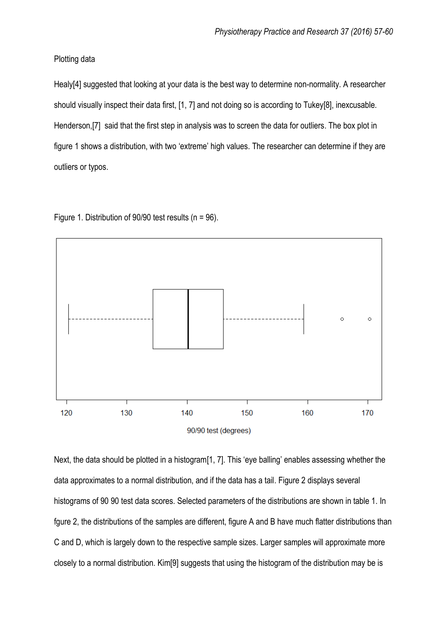## Plotting data

Healy[4] suggested that looking at your data is the best way to determine non-normality. A researcher should visually inspect their data first, [1, 7] and not doing so is according to Tukey[8], inexcusable. Henderson,[7] said that the first step in analysis was to screen the data for outliers. The box plot in figure 1 shows a distribution, with two 'extreme' high values. The researcher can determine if they are outliers or typos.

Figure 1. Distribution of 90/90 test results (n = 96).



Next, the data should be plotted in a histogram[1, 7]. This 'eye balling' enables assessing whether the data approximates to a normal distribution, and if the data has a tail. Figure 2 displays several histograms of 90 90 test data scores. Selected parameters of the distributions are shown in table 1. In fgure 2, the distributions of the samples are different, figure A and B have much flatter distributions than C and D, which is largely down to the respective sample sizes. Larger samples will approximate more closely to a normal distribution. Kim[9] suggests that using the histogram of the distribution may be is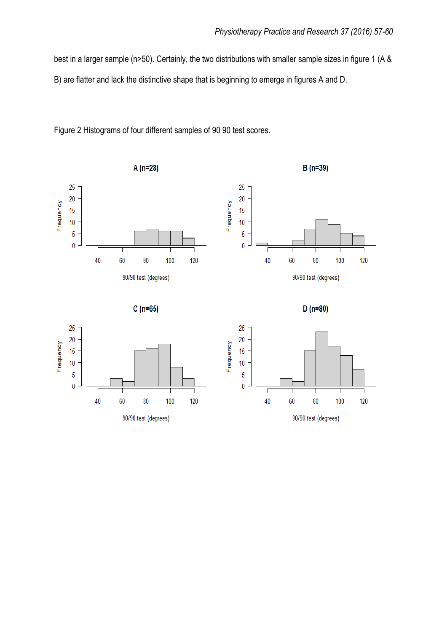best in a larger sample (n>50). Certainly, the two distributions with smaller sample sizes in figure 1 (A & B) are flatter and lack the distinctive shape that is beginning to emerge in figures A and D.



Figure 2 Histograms of four different samples of 90 90 test scores.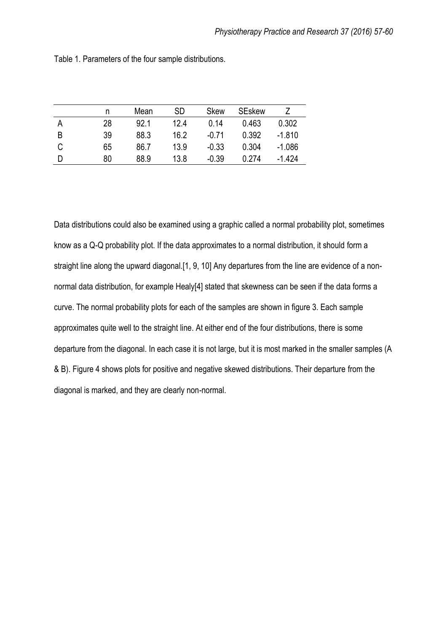|   | n  | Mean | <b>SD</b> | <b>Skew</b> | <b>SEskew</b> |          |
|---|----|------|-----------|-------------|---------------|----------|
| А | 28 | 92.1 | 12.4      | 0.14        | 0.463         | 0.302    |
| B | 39 | 88.3 | 16.2      | $-0.71$     | 0.392         | $-1.810$ |
| C | 65 | 86.7 | 13.9      | $-0.33$     | 0.304         | $-1.086$ |
| D | 80 | 88.9 | 13.8      | $-0.39$     | 0.274         | $-1.424$ |

Table 1. Parameters of the four sample distributions.

Data distributions could also be examined using a graphic called a normal probability plot, sometimes know as a Q-Q probability plot. If the data approximates to a normal distribution, it should form a straight line along the upward diagonal.[1, 9, 10] Any departures from the line are evidence of a nonnormal data distribution, for example Healy[4] stated that skewness can be seen if the data forms a curve. The normal probability plots for each of the samples are shown in figure 3. Each sample approximates quite well to the straight line. At either end of the four distributions, there is some departure from the diagonal. In each case it is not large, but it is most marked in the smaller samples (A & B). Figure 4 shows plots for positive and negative skewed distributions. Their departure from the diagonal is marked, and they are clearly non-normal.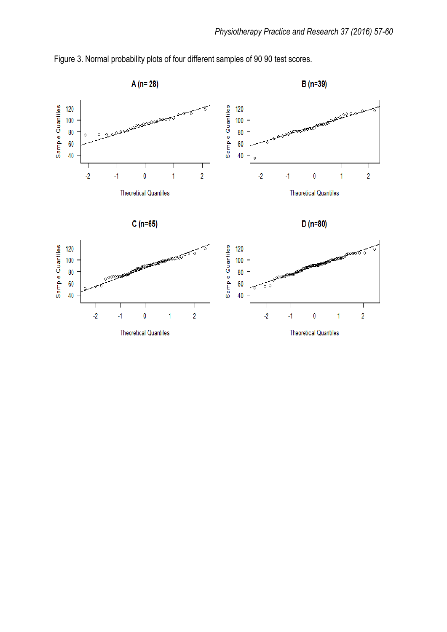

Figure 3. Normal probability plots of four different samples of 90 90 test scores.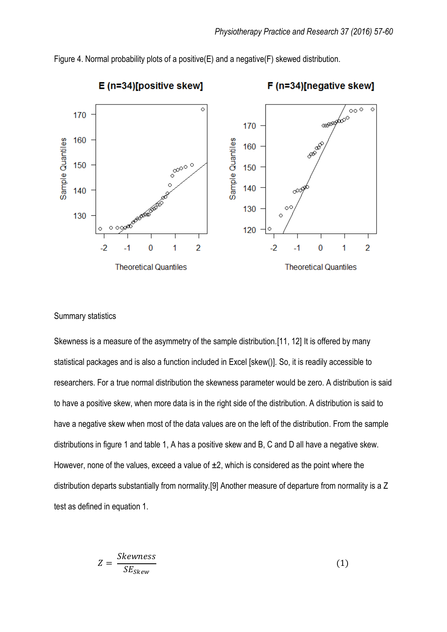

Figure 4. Normal probability plots of a positive(E) and a negative(F) skewed distribution.

### Summary statistics

Skewness is a measure of the asymmetry of the sample distribution.[11, 12] It is offered by many statistical packages and is also a function included in Excel [skew()]. So, it is readily accessible to researchers. For a true normal distribution the skewness parameter would be zero. A distribution is said to have a positive skew, when more data is in the right side of the distribution. A distribution is said to have a negative skew when most of the data values are on the left of the distribution. From the sample distributions in figure 1 and table 1, A has a positive skew and B, C and D all have a negative skew. However, none of the values, exceed a value of  $\pm 2$ , which is considered as the point where the distribution departs substantially from normality.[9] Another measure of departure from normality is a Z test as defined in equation 1.

$$
Z = \frac{Skewness}{SE_{Skew}}\tag{1}
$$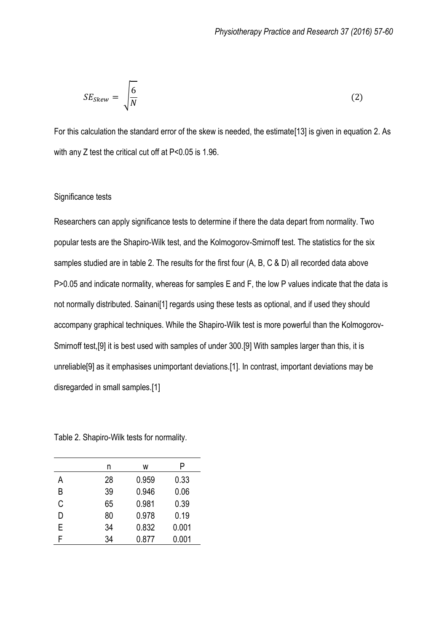$$
SE_{Skew} = \sqrt{\frac{6}{N}}
$$
 (2)

For this calculation the standard error of the skew is needed, the estimate[13] is given in equation 2. As with any Z test the critical cut off at P<0.05 is 1.96.

## Significance tests

Researchers can apply significance tests to determine if there the data depart from normality. Two popular tests are the Shapiro-Wilk test, and the Kolmogorov-Smirnoff test. The statistics for the six samples studied are in table 2. The results for the first four (A, B, C & D) all recorded data above P>0.05 and indicate normality, whereas for samples E and F, the low P values indicate that the data is not normally distributed. Sainani[1] regards using these tests as optional, and if used they should accompany graphical techniques. While the Shapiro-Wilk test is more powerful than the Kolmogorov-Smirnoff test,[9] it is best used with samples of under 300.[9] With samples larger than this, it is unreliable[9] as it emphasises unimportant deviations.[1]. In contrast, important deviations may be disregarded in small samples.[1]

Table 2. Shapiro-Wilk tests for normality.

|   | n  | W     | P     |
|---|----|-------|-------|
| А | 28 | 0.959 | 0.33  |
| B | 39 | 0.946 | 0.06  |
| C | 65 | 0.981 | 0.39  |
| D | 80 | 0.978 | 0.19  |
| E | 34 | 0.832 | 0.001 |
| F | 34 | 0.877 | 0.001 |